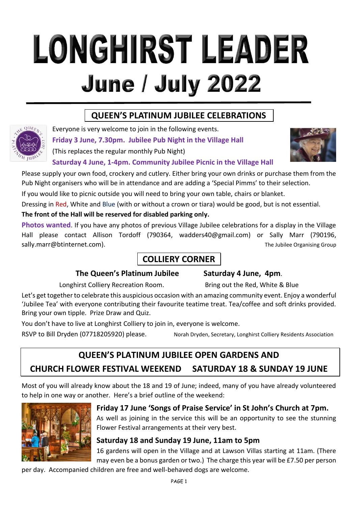# LONGHIRST LEADER **June / July 2022**

# **QUEEN'S PLATINUM JUBILEE CELEBRATIONS** . .



Everyone is very welcome to join in the following events. **Friday 3 June, 7.30pm. Jubilee Pub Night in the Village Hall**

(This replaces the regular monthly Pub Night)



#### **Saturday 4 June, 1-4pm. Community Jubilee Picnic in the Village Hall**

Please supply your own food, crockery and cutlery. Either bring your own drinks or purchase them from the Pub Night organisers who will be in attendance and are adding a 'Special Pimms' to their selection.

If you would like to picnic outside you will need to bring your own table, chairs or blanket.

Dressing in Red, White and Blue (with or without a crown or tiara) would be good, but is not essential.

**The front of the Hall will be reserved for disabled parking only.**

**Photos wanted**. If you have any photos of previous Village Jubilee celebrations for a display in the Village Hall please contact Allison Tordoff (790364, [wadders40@gmail.com\)](mailto:wadders40@gmail.com) or Sally Marr (790196, [sally.marr@btinternet.com\)](mailto:sally.marr@btinternet.com). The Jubilee Organising Group

# **COLLIERY CORNER** .

#### **The Queen's Platinum Jubilee Saturday 4 June, 4pm**.

Longhirst Colliery Recreation Room. Bring out the Red, White & Blue

Let's get together to celebrate this auspicious occasion with an amazing community event. Enjoy a wonderful 'Jubilee Tea' with everyone contributing their favourite teatime treat. Tea/coffee and soft drinks provided. Bring your own tipple. Prize Draw and Quiz.

You don't have to live at Longhirst Colliery to join in, everyone is welcome.

RSVP to Bill Dryden (07718205920) please. Norah Dryden, Secretary, Longhirst Colliery Residents Association

# **QUEEN'S PLATINUM JUBILEE OPEN GARDENS AND**

# **CHURCH FLOWER FESTIVAL WEEKEND SATURDAY 18 & SUNDAY 19 JUNE**

Most of you will already know about the 18 and 19 of June; indeed, many of you have already volunteered to help in one way or another. Here's a brief outline of the weekend:



## **Friday 17 June 'Songs of Praise Service' in St John's Church at 7pm.**

As well as joining in the service this will be an opportunity to see the stunning Flower Festival arrangements at their very best.

## **Saturday 18 and Sunday 19 June, 11am to 5pm**

16 gardens will open in the Village and at Lawson Villas starting at 11am. (There may even be a bonus garden or two.) The charge this year will be £7.50 per person

per day. Accompanied children are free and well-behaved dogs are welcome.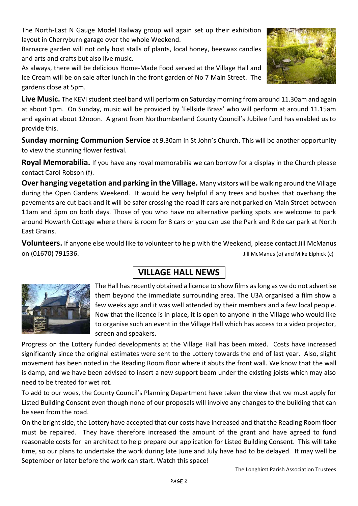The North-East N Gauge Model Railway group will again set up their exhibition layout in Cherryburn garage over the whole Weekend.

Barnacre garden will not only host stalls of plants, local honey, beeswax candles and arts and crafts but also live music.

As always, there will be delicious Home-Made Food served at the Village Hall and Ice Cream will be on sale after lunch in the front garden of No 7 Main Street. The gardens close at 5pm.

**Live Music.** The KEVI student steel band will perform on Saturday morning from around 11.30am and again at about 1pm. On Sunday, music will be provided by 'Fellside Brass' who will perform at around 11.15am and again at about 12noon. A grant from Northumberland County Council's Jubilee fund has enabled us to provide this.

**Sunday morning Communion Service** at 9.30am in St John's Church. This will be another opportunity to view the stunning flower festival.

**Royal Memorabilia.** If you have any royal memorabilia we can borrow for a display in the Church please contact Carol Robson (f).

**Over hanging vegetation and parking in the Village.** Many visitors will be walking around the Village during the Open Gardens Weekend. It would be very helpful if any trees and bushes that overhang the pavements are cut back and it will be safer crossing the road if cars are not parked on Main Street between 11am and 5pm on both days. Those of you who have no alternative parking spots are welcome to park around Howarth Cottage where there is room for 8 cars or you can use the Park and Ride car park at North East Grains.

**Volunteers.** If anyone else would like to volunteer to help with the Weekend, please contact Jill McManus on (01670) 791536. Jill McManus (o) and Mike Elphick (c)

# **VILLAGE HALL NEWS .**

The Hall has recently obtained a licence to show films aslong as we do not advertise them beyond the immediate surrounding area. The U3A organised a film show a few weeks ago and it was well attended by their members and a few local people. Now that the licence is in place, it is open to anyone in the Village who would like to organise such an event in the Village Hall which has access to a video projector, screen and speakers.

Progress on the Lottery funded developments at the Village Hall has been mixed. Costs have increased significantly since the original estimates were sent to the Lottery towards the end of last year. Also, slight movement has been noted in the Reading Room floor where it abuts the front wall. We know that the wall is damp, and we have been advised to insert a new support beam under the existing joists which may also need to be treated for wet rot.

To add to our woes, the County Council's Planning Department have taken the view that we must apply for Listed Building Consent even though none of our proposals will involve any changes to the building that can be seen from the road.

On the bright side, the Lottery have accepted that our costs have increased and that the Reading Room floor must be repaired. They have therefore increased the amount of the grant and have agreed to fund reasonable costs for an architect to help prepare our application for Listed Building Consent. This will take time, so our plans to undertake the work during late June and July have had to be delayed. It may well be September or later before the work can start. Watch this space!



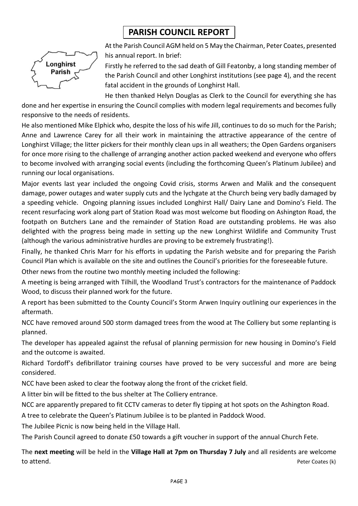# **PARISH COUNCIL REPORT .**



At the Parish Council AGM held on 5 May the Chairman, Peter Coates, presented his annual report. In brief:

Firstly he referred to the sad death of Gill Featonby, a long standing member of the Parish Council and other Longhirst institutions (see page 4), and the recent fatal accident in the grounds of Longhirst Hall.

He then thanked Helyn Douglas as Clerk to the Council for everything she has done and her expertise in ensuring the Council complies with modern legal requirements and becomes fully responsive to the needs of residents.

He also mentioned Mike Elphick who, despite the loss of his wife Jill, continues to do so much for the Parish; Anne and Lawrence Carey for all their work in maintaining the attractive appearance of the centre of Longhirst Village; the litter pickers for their monthly clean ups in all weathers; the Open Gardens organisers for once more rising to the challenge of arranging another action packed weekend and everyone who offers to become involved with arranging social events (including the forthcoming Queen's Platinum Jubilee) and running our local organisations.

Major events last year included the ongoing Covid crisis, storms Arwen and Malik and the consequent damage, power outages and water supply cuts and the lychgate at the Church being very badly damaged by a speeding vehicle. Ongoing planning issues included Longhirst Hall/ Dairy Lane and Domino's Field. The recent resurfacing work along part of Station Road was most welcome but flooding on Ashington Road, the footpath on Butchers Lane and the remainder of Station Road are outstanding problems. He was also delighted with the progress being made in setting up the new Longhirst Wildlife and Community Trust (although the various administrative hurdles are proving to be extremely frustrating!).

Finally, he thanked Chris Marr for his efforts in updating the Parish website and for preparing the Parish Council Plan which is available on the site and outlines the Council's priorities for the foreseeable future.

Other news from the routine two monthly meeting included the following:

A meeting is being arranged with Tilhill, the Woodland Trust's contractors for the maintenance of Paddock Wood, to discuss their planned work for the future.

A report has been submitted to the County Council's Storm Arwen Inquiry outlining our experiences in the aftermath.

NCC have removed around 500 storm damaged trees from the wood at The Colliery but some replanting is planned.

The developer has appealed against the refusal of planning permission for new housing in Domino's Field and the outcome is awaited.

Richard Tordoff's defibrillator training courses have proved to be very successful and more are being considered.

NCC have been asked to clear the footway along the front of the cricket field.

A litter bin will be fitted to the bus shelter at The Colliery entrance.

NCC are apparently prepared to fit CCTV cameras to deter fly tipping at hot spots on the Ashington Road.

A tree to celebrate the Queen's Platinum Jubilee is to be planted in Paddock Wood.

The Jubilee Picnic is now being held in the Village Hall.

The Parish Council agreed to donate £50 towards a gift voucher in support of the annual Church Fete.

The **next meeting** will be held in the **Village Hall at 7pm on Thursday 7 July** and all residents are welcome to attend. The extension of the extended of the extended of the extended of the extended of the extended of the extended of the extended of the extended of the extended of the extended of the extended of the extended of th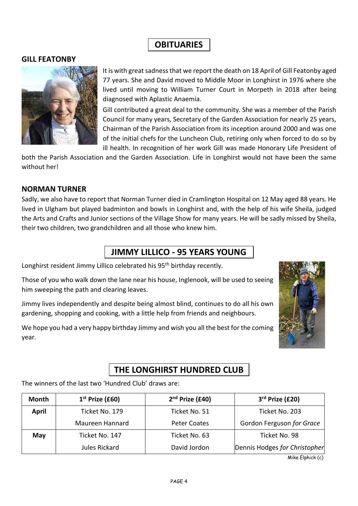# **OBITUARIES** .

#### **GILL FEATONBY**



It is with great sadness that we report the death on 18 April of Gill Featonby aged 77 years. She and David moved to Middle Moor in Longhirst in 1976 where she lived until moving to William Turner Court in Morpeth in 2018 after being diagnosed with Aplastic Anaemia.

Gill contributed a great deal to the community. She was a member of the Parish Council for many years, Secretary of the Garden Association for nearly 25 years, Chairman of the Parish Association from its inception around 2000 and was one of the initial chefs for the Luncheon Club, retiring only when forced to do so by ill health. In recognition of her work Gill was made Honorary Life President of

both the Parish Association and the Garden Association. Life in Longhirst would not have been the same without her!

#### **NORMAN TURNER**

Sadly, we also have to report that Norman Turner died in Cramlington Hospital on 12 May aged 88 years. He lived in Ulgham but played badminton and bowls in Longhirst and, with the help of his wife Sheila, judged the Arts and Crafts and Junior sections of the Village Show for many years. He will be sadly missed by Sheila, their two children, two grandchildren and all those who knew him.

## **JIMMY LILLICO - 95 YEARS YOUNG** .

Longhirst resident Jimmy Lillico celebrated his 95<sup>th</sup> birthday recently.

Those of you who walk down the lane near his house, Inglenook, will be used to seeing him sweeping the path and clearing leaves.

Jimmy lives independently and despite being almost blind, continues to do all his own gardening, shopping and cooking, with a little help from friends and neighbours.

We hope you had a very happy birthday Jimmy and wish you all the best for the coming year.



## **THE LONGHIRST HUNDRED CLUB** .

The winners of the last two 'Hundred Club' draws are:

| Month        | $1st$ Prize (£60) | $2nd$ Prize (£40)   | 3rd Prize (£20)               |
|--------------|-------------------|---------------------|-------------------------------|
| <b>April</b> | Ticket No. 179    | Ticket No. 51       | Ticket No. 203                |
|              | Maureen Hannard   | <b>Peter Coates</b> | Gordon Ferguson for Grace     |
| May          | Ticket No. 147    | Ticket No. 63       | Ticket No. 98                 |
|              | Jules Rickard     | David Jordon        | Dennis Hodges for Christopher |

Mike Elphick (c)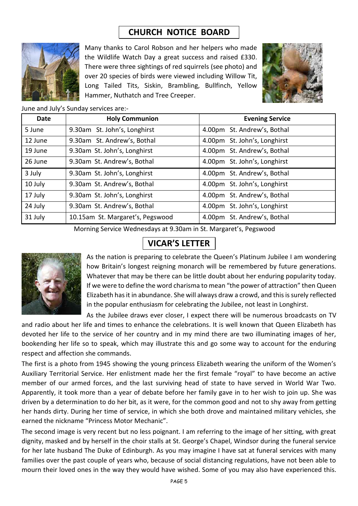## **CHURCH NOTICE BOARD** .



Many thanks to Carol Robson and her helpers who made the Wildlife Watch Day a great success and raised £330. There were three sightings of red squirrels (see photo) and over 20 species of birds were viewed including Willow Tit, Long Tailed Tits, Siskin, Brambling, Bullfinch, Yellow Hammer, Nuthatch and Tree Creeper.



#### June and July's Sunday services are:-

| Date    | <b>Holy Communion</b>            | <b>Evening Service</b>       |
|---------|----------------------------------|------------------------------|
| 5 June  | 9.30am St. John's, Longhirst     | 4.00pm St. Andrew's, Bothal  |
| 12 June | 9.30am St. Andrew's, Bothal      | 4.00pm St. John's, Longhirst |
| 19 June | 9.30am St. John's, Longhirst     | 4.00pm St. Andrew's, Bothal  |
| 26 June | 9.30am St. Andrew's, Bothal      | 4.00pm St. John's, Longhirst |
| 3 July  | 9.30am St. John's, Longhirst     | 4.00pm St. Andrew's, Bothal  |
| 10 July | 9.30am St. Andrew's, Bothal      | 4.00pm St. John's, Longhirst |
| 17 July | 9.30am St. John's, Longhirst     | 4.00pm St. Andrew's, Bothal  |
| 24 July | 9.30am St. Andrew's, Bothal      | 4.00pm St. John's, Longhirst |
| 31 July | 10.15am St. Margaret's, Pegswood | 4.00pm St. Andrew's, Bothal  |

Morning Service Wednesdays at 9.30am in St. Margaret's, Pegswood

## **VICAR'S LETTER .**



As the nation is preparing to celebrate the Queen's Platinum Jubilee I am wondering how Britain's longest reigning monarch will be remembered by future generations. Whatever that may be there can be little doubt about her enduring popularity today. If we were to define the word charisma to mean "the power of attraction" then Queen Elizabeth has it in abundance. She will always draw a crowd, and this is surely reflected in the popular enthusiasm for celebrating the Jubilee, not least in Longhirst.

As the Jubilee draws ever closer, I expect there will be numerous broadcasts on TV and radio about her life and times to enhance the celebrations. It is well known that Queen Elizabeth has devoted her life to the service of her country and in my mind there are two illuminating images of her, bookending her life so to speak, which may illustrate this and go some way to account for the enduring respect and affection she commands.

The first is a photo from 1945 showing the young princess Elizabeth wearing the uniform of the Women's Auxiliary Territorial Service. Her enlistment made her the first female "royal" to have become an active member of our armed forces, and the last surviving head of state to have served in World War Two. Apparently, it took more than a year of debate before her family gave in to her wish to join up. She was driven by a determination to do her bit, as it were, for the common good and not to shy away from getting her hands dirty. During her time of service, in which she both drove and maintained military vehicles, she earned the nickname "Princess Motor Mechanic".

The second image is very recent but no less poignant. I am referring to the image of her sitting, with great dignity, masked and by herself in the choir stalls at St. George's Chapel, Windsor during the funeral service for her late husband The Duke of Edinburgh. As you may imagine I have sat at funeral services with many families over the past couple of years who, because of social distancing regulations, have not been able to mourn their loved ones in the way they would have wished. Some of you may also have experienced this.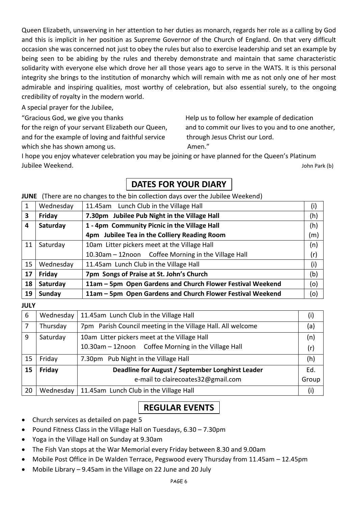Queen Elizabeth, unswerving in her attention to her duties as monarch, regards her role as a calling by God and this is implicit in her position as Supreme Governor of the Church of England. On that very difficult occasion she was concerned not just to obey the rules but also to exercise leadership and set an example by being seen to be abiding by the rules and thereby demonstrate and maintain that same characteristic solidarity with everyone else which drove her all those years ago to serve in the WATS. It is this personal integrity she brings to the institution of monarchy which will remain with me as not only one of her most admirable and inspiring qualities, most worthy of celebration, but also essential surely, to the ongoing credibility of royalty in the modern world.

A special prayer for the Jubilee,

and for the example of loving and faithful service through Jesus Christ our Lord. which she has shown among us. The manner of the Amen."

"Gracious God, we give you thanks Help us to follow her example of dedication for the reign of your servant Elizabeth our Queen, and to commit our lives to you and to one another,

I hope you enjoy whatever celebration you may be joining or have planned for the Queen's Platinum Jubilee Weekend. John Park (b)

# **DATES FOR YOUR DIARY** .

#### **JUNE** (There are no changes to the bin collection days over the Jubilee Weekend)

| 1  | Wednesday | 11.45am Lunch Club in the Village Hall                     | (i) |
|----|-----------|------------------------------------------------------------|-----|
| 3  | Friday    | 7.30pm Jubilee Pub Night in the Village Hall               | (h) |
| 4  | Saturday  | 1 - 4pm Community Picnic in the Village Hall               |     |
|    |           | 4pm Jubilee Tea in the Colliery Reading Room               | (m) |
| 11 | Saturday  | 10am Litter pickers meet at the Village Hall               | (n) |
|    |           | 10.30am - 12noon Coffee Morning in the Village Hall        | (r) |
| 15 | Wednesday | 11.45am Lunch Club in the Village Hall                     | (i) |
| 17 | Friday    | 7pm Songs of Praise at St. John's Church<br>(b)            |     |
| 18 | Saturday  | 11am - 5pm Open Gardens and Church Flower Festival Weekend | (o) |
| 19 | Sunday    | 11am - 5pm Open Gardens and Church Flower Festival Weekend | (o) |

**JULY**

| 6  | Wednesday | 11.45am Lunch Club in the Village Hall                      | (i)   |
|----|-----------|-------------------------------------------------------------|-------|
| 7  | Thursday  | 7pm Parish Council meeting in the Village Hall. All welcome | (a)   |
| 9  | Saturday  | 10am Litter pickers meet at the Village Hall                | (n)   |
|    |           | 10.30am - 12noon Coffee Morning in the Village Hall         | (r)   |
| 15 | Friday    | 7.30pm Pub Night in the Village Hall                        | (h)   |
| 15 | Friday    | Deadline for August / September Longhirst Leader            | Ed.   |
|    |           | e-mail to clairecoates32@gmail.com                          | Group |
| 20 | Wednesday | 11.45am Lunch Club in the Village Hall                      | (i)   |

## **REGULAR EVENTS** .

- Church services as detailed on page 5
- Pound Fitness Class in the Village Hall on Tuesdays, 6.30 7.30pm
- Yoga in the Village Hall on Sunday at 9.30am
- The Fish Van stops at the War Memorial every Friday between 8.30 and 9.00am
- Mobile Post Office in De Walden Terrace, Pegswood every Thursday from 11.45am 12.45pm
- Mobile Library 9.45am in the Village on 22 June and 20 July